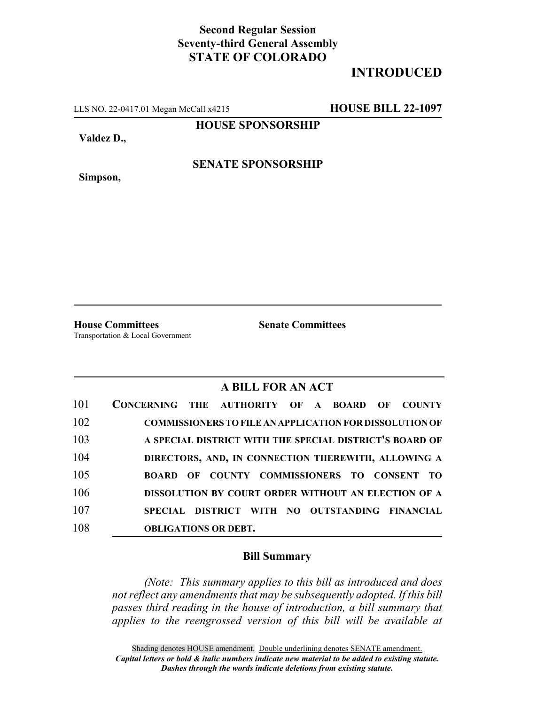## **Second Regular Session Seventy-third General Assembly STATE OF COLORADO**

# **INTRODUCED**

LLS NO. 22-0417.01 Megan McCall x4215 **HOUSE BILL 22-1097**

**HOUSE SPONSORSHIP**

**Valdez D.,**

**Simpson,**

**SENATE SPONSORSHIP**

Transportation & Local Government

**House Committees Senate Committees**

### **A BILL FOR AN ACT**

| 101 | CONCERNING THE AUTHORITY OF A BOARD OF<br><b>COUNTY</b>        |
|-----|----------------------------------------------------------------|
| 102 | <b>COMMISSIONERS TO FILE AN APPLICATION FOR DISSOLUTION OF</b> |
| 103 | A SPECIAL DISTRICT WITH THE SPECIAL DISTRICT'S BOARD OF        |
| 104 | DIRECTORS, AND, IN CONNECTION THEREWITH, ALLOWING A            |
| 105 | <b>BOARD OF COUNTY COMMISSIONERS TO CONSENT TO</b>             |
| 106 | DISSOLUTION BY COURT ORDER WITHOUT AN ELECTION OF A            |
| 107 | SPECIAL DISTRICT WITH NO OUTSTANDING FINANCIAL                 |
| 108 | <b>OBLIGATIONS OR DEBT.</b>                                    |

### **Bill Summary**

*(Note: This summary applies to this bill as introduced and does not reflect any amendments that may be subsequently adopted. If this bill passes third reading in the house of introduction, a bill summary that applies to the reengrossed version of this bill will be available at*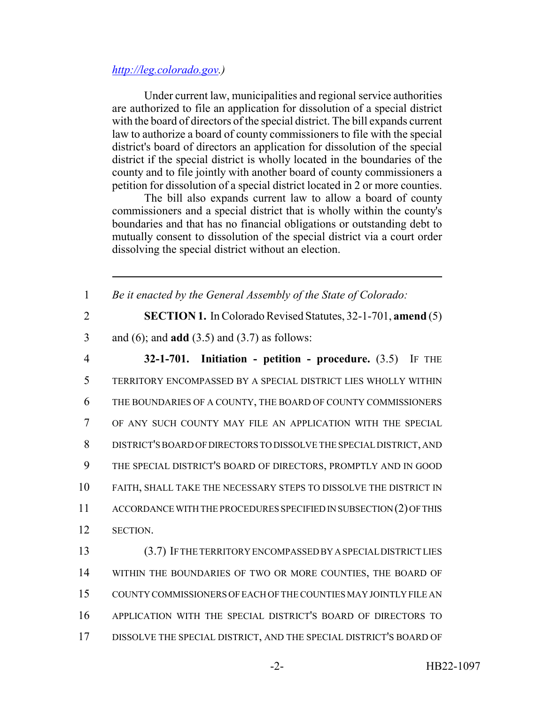#### *http://leg.colorado.gov.)*

Under current law, municipalities and regional service authorities are authorized to file an application for dissolution of a special district with the board of directors of the special district. The bill expands current law to authorize a board of county commissioners to file with the special district's board of directors an application for dissolution of the special district if the special district is wholly located in the boundaries of the county and to file jointly with another board of county commissioners a petition for dissolution of a special district located in 2 or more counties.

The bill also expands current law to allow a board of county commissioners and a special district that is wholly within the county's boundaries and that has no financial obligations or outstanding debt to mutually consent to dissolution of the special district via a court order dissolving the special district without an election.

1 *Be it enacted by the General Assembly of the State of Colorado:* 2 **SECTION 1.** In Colorado Revised Statutes, 32-1-701, **amend** (5) 3 and (6); and **add** (3.5) and (3.7) as follows:

 **32-1-701. Initiation - petition - procedure.** (3.5) IF THE TERRITORY ENCOMPASSED BY A SPECIAL DISTRICT LIES WHOLLY WITHIN THE BOUNDARIES OF A COUNTY, THE BOARD OF COUNTY COMMISSIONERS OF ANY SUCH COUNTY MAY FILE AN APPLICATION WITH THE SPECIAL DISTRICT'S BOARD OF DIRECTORS TO DISSOLVE THE SPECIAL DISTRICT, AND THE SPECIAL DISTRICT'S BOARD OF DIRECTORS, PROMPTLY AND IN GOOD FAITH, SHALL TAKE THE NECESSARY STEPS TO DISSOLVE THE DISTRICT IN ACCORDANCE WITH THE PROCEDURES SPECIFIED IN SUBSECTION (2) OF THIS 12 SECTION. (3.7) IF THE TERRITORY ENCOMPASSED BY A SPECIAL DISTRICT LIES

14 WITHIN THE BOUNDARIES OF TWO OR MORE COUNTIES, THE BOARD OF COUNTY COMMISSIONERS OF EACH OF THE COUNTIES MAY JOINTLY FILE AN APPLICATION WITH THE SPECIAL DISTRICT'S BOARD OF DIRECTORS TO DISSOLVE THE SPECIAL DISTRICT, AND THE SPECIAL DISTRICT'S BOARD OF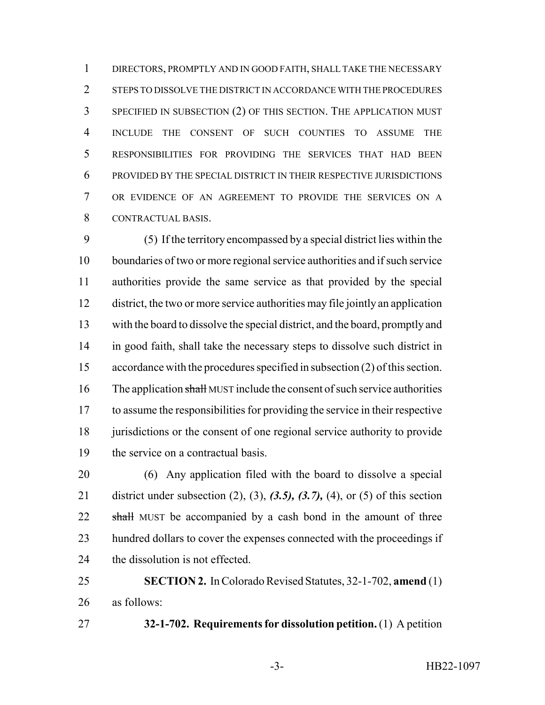DIRECTORS, PROMPTLY AND IN GOOD FAITH, SHALL TAKE THE NECESSARY 2 STEPS TO DISSOLVE THE DISTRICT IN ACCORDANCE WITH THE PROCEDURES SPECIFIED IN SUBSECTION (2) OF THIS SECTION. THE APPLICATION MUST INCLUDE THE CONSENT OF SUCH COUNTIES TO ASSUME THE RESPONSIBILITIES FOR PROVIDING THE SERVICES THAT HAD BEEN PROVIDED BY THE SPECIAL DISTRICT IN THEIR RESPECTIVE JURISDICTIONS OR EVIDENCE OF AN AGREEMENT TO PROVIDE THE SERVICES ON A CONTRACTUAL BASIS.

 (5) If the territory encompassed by a special district lies within the boundaries of two or more regional service authorities and if such service authorities provide the same service as that provided by the special district, the two or more service authorities may file jointly an application with the board to dissolve the special district, and the board, promptly and in good faith, shall take the necessary steps to dissolve such district in accordance with the procedures specified in subsection (2) of this section. 16 The application shall MUST include the consent of such service authorities to assume the responsibilities for providing the service in their respective 18 jurisdictions or the consent of one regional service authority to provide the service on a contractual basis.

 (6) Any application filed with the board to dissolve a special district under subsection (2), (3), *(3.5), (3.7),* (4), or (5) of this section 22 shall MUST be accompanied by a cash bond in the amount of three 23 hundred dollars to cover the expenses connected with the proceedings if the dissolution is not effected.

 **SECTION 2.** In Colorado Revised Statutes, 32-1-702, **amend** (1) as follows:

**32-1-702. Requirements for dissolution petition.** (1) A petition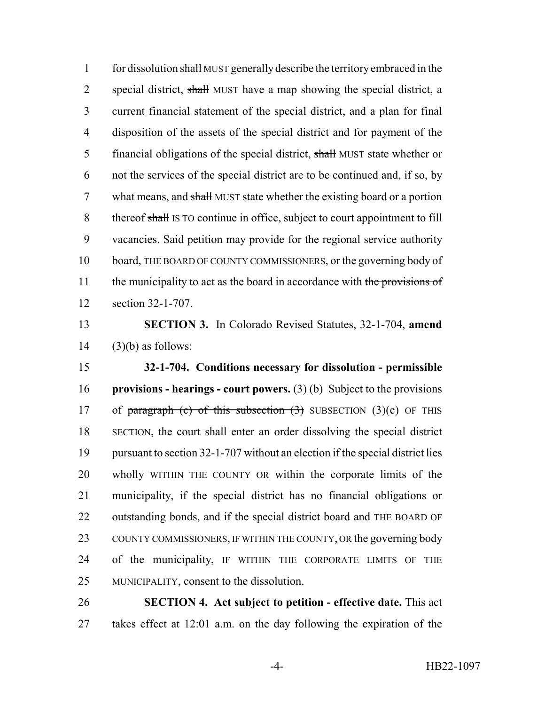1 for dissolution shall MUST generally describe the territory embraced in the 2 special district, shall MUST have a map showing the special district, a current financial statement of the special district, and a plan for final disposition of the assets of the special district and for payment of the 5 financial obligations of the special district, shall MUST state whether or not the services of the special district are to be continued and, if so, by 7 what means, and shall MUST state whether the existing board or a portion 8 thereof shall IS TO continue in office, subject to court appointment to fill vacancies. Said petition may provide for the regional service authority board, THE BOARD OF COUNTY COMMISSIONERS, or the governing body of 11 the municipality to act as the board in accordance with the provisions of section 32-1-707.

 **SECTION 3.** In Colorado Revised Statutes, 32-1-704, **amend** (3)(b) as follows:

 **32-1-704. Conditions necessary for dissolution - permissible provisions - hearings - court powers.** (3) (b) Subject to the provisions 17 of paragraph (c) of this subsection  $(3)$  SUBSECTION  $(3)(c)$  OF THIS SECTION, the court shall enter an order dissolving the special district pursuant to section 32-1-707 without an election if the special district lies wholly WITHIN THE COUNTY OR within the corporate limits of the municipality, if the special district has no financial obligations or outstanding bonds, and if the special district board and THE BOARD OF 23 COUNTY COMMISSIONERS, IF WITHIN THE COUNTY, OR the governing body of the municipality, IF WITHIN THE CORPORATE LIMITS OF THE MUNICIPALITY, consent to the dissolution.

 **SECTION 4. Act subject to petition - effective date.** This act takes effect at 12:01 a.m. on the day following the expiration of the